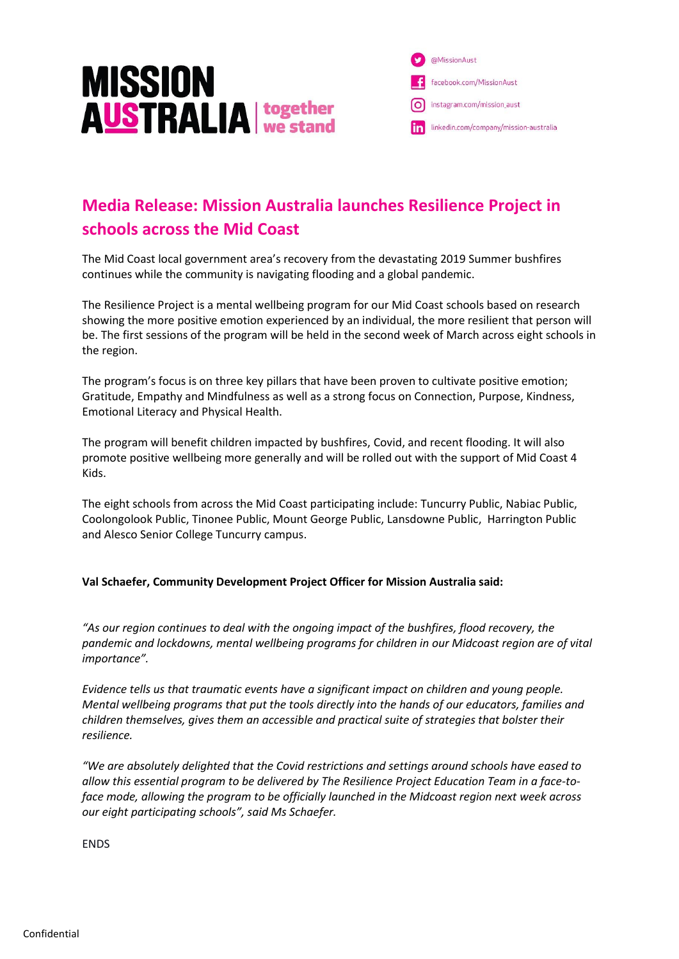

@MissionAust facebook.com/MissionAust instagram.com/mission\_aust in linkedin.com/company/mission-australia

## **Media Release: Mission Australia launches Resilience Project in schools across the Mid Coast**

The Mid Coast local government area's recovery from the devastating 2019 Summer bushfires continues while the community is navigating flooding and a global pandemic.

The Resilience Project is a mental wellbeing program for our Mid Coast schools based on research showing the more positive emotion experienced by an individual, the more resilient that person will be. The first sessions of the program will be held in the second week of March across eight schools in the region.

The program's focus is on three key pillars that have been proven to cultivate positive emotion; Gratitude, Empathy and Mindfulness as well as a strong focus on Connection, Purpose, Kindness, Emotional Literacy and Physical Health.

The program will benefit children impacted by bushfires, Covid, and recent flooding. It will also promote positive wellbeing more generally and will be rolled out with the support of Mid Coast 4 Kids.

The eight schools from across the Mid Coast participating include: Tuncurry Public, Nabiac Public, Coolongolook Public, Tinonee Public, Mount George Public, Lansdowne Public, Harrington Public and Alesco Senior College Tuncurry campus.

## **Val Schaefer, Community Development Project Officer for Mission Australia said:**

*"As our region continues to deal with the ongoing impact of the bushfires, flood recovery, the pandemic and lockdowns, mental wellbeing programs for children in our Midcoast region are of vital importance".*

*Evidence tells us that traumatic events have a significant impact on children and young people. Mental wellbeing programs that put the tools directly into the hands of our educators, families and children themselves, gives them an accessible and practical suite of strategies that bolster their resilience.*

*"We are absolutely delighted that the Covid restrictions and settings around schools have eased to allow this essential program to be delivered by The Resilience Project Education Team in a face-toface mode, allowing the program to be officially launched in the Midcoast region next week across our eight participating schools", said Ms Schaefer.*

ENDS